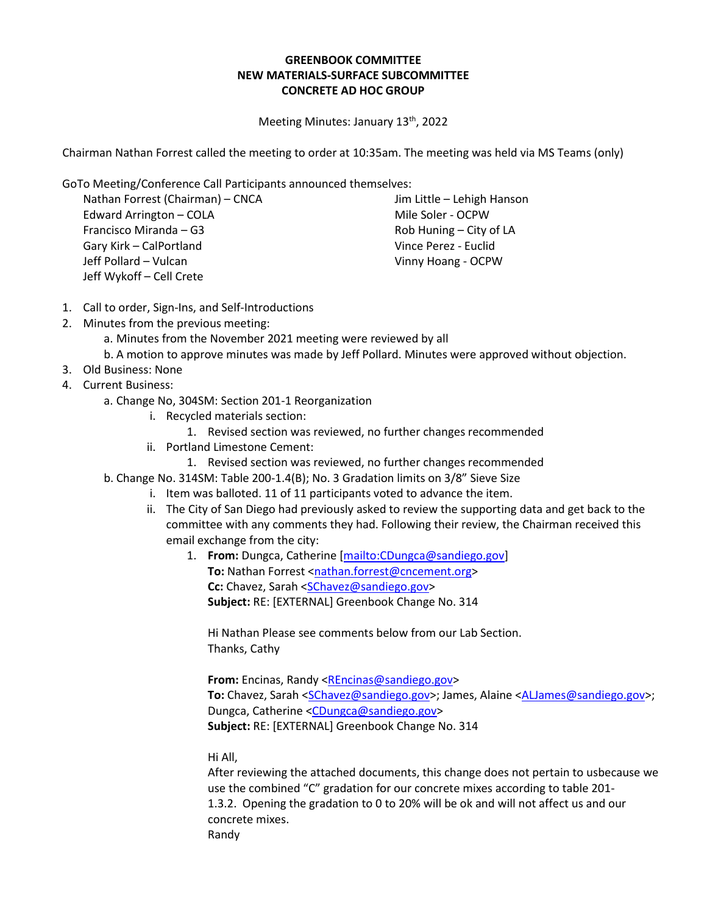## **GREENBOOK COMMITTEE NEW MATERIALS-SURFACE SUBCOMMITTEE CONCRETE AD HOC GROUP**

Meeting Minutes: January 13<sup>th</sup>, 2022

Chairman Nathan Forrest called the meeting to order at 10:35am. The meeting was held via MS Teams (only)

GoTo Meeting/Conference Call Participants announced themselves:

Nathan Forrest (Chairman) – CNCA Edward Arrington – COLA Francisco Miranda – G3 Gary Kirk – CalPortland Jeff Pollard – Vulcan Jeff Wykoff – Cell Crete

Jim Little – Lehigh Hanson Mile Soler - OCPW Rob Huning – City of LA Vince Perez - Euclid Vinny Hoang - OCPW

- 1. Call to order, Sign-Ins, and Self-Introductions
- 2. Minutes from the previous meeting:
	- a. Minutes from the November 2021 meeting were reviewed by all
	- b. A motion to approve minutes was made by Jeff Pollard. Minutes were approved without objection.
- 3. Old Business: None
- 4. Current Business:
	- a. Change No, 304SM: Section 201-1 Reorganization
		- i. Recycled materials section:
			- 1. Revised section was reviewed, no further changes recommended
		- ii. Portland Limestone Cement:
			- 1. Revised section was reviewed, no further changes recommended
	- b. Change No. 314SM: Table 200-1.4(B); No. 3 Gradation limits on 3/8" Sieve Size
		- i. Item was balloted. 11 of 11 participants voted to advance the item.
		- ii. The City of San Diego had previously asked to review the supporting data and get back to the committee with any comments they had. Following their review, the Chairman received this email exchange from the city:
			- 1. **From:** Dungca, Catherine [\[mailto:CDungca@sandiego.gov\]](mailto:CDungca@sandiego.gov) To: Nathan Forrest [<nathan.forrest@cncement.org>](mailto:nathan.forrest@cncement.org) **Cc:** Chavez, Sarah [<SChavez@sandiego.gov>](mailto:SChavez@sandiego.gov) **Subject:** RE: [EXTERNAL] Greenbook Change No. 314

Hi Nathan Please see comments below from our Lab Section. Thanks, Cathy

From: Encinas, Randy [<REncinas@sandiego.gov>](mailto:REncinas@sandiego.gov) To: Chavez, Sarah [<SChavez@sandiego.gov>](mailto:SChavez@sandiego.gov); James, Alaine [<ALJames@sandiego.gov>](mailto:ALJames@sandiego.gov); Dungca, Catherine [<CDungca@sandiego.gov>](mailto:CDungca@sandiego.gov) **Subject:** RE: [EXTERNAL] Greenbook Change No. 314

Hi All,

After reviewing the attached documents, this change does not pertain to usbecause we use the combined "C" gradation for our concrete mixes according to table 201- 1.3.2. Opening the gradation to 0 to 20% will be ok and will not affect us and our concrete mixes. Randy